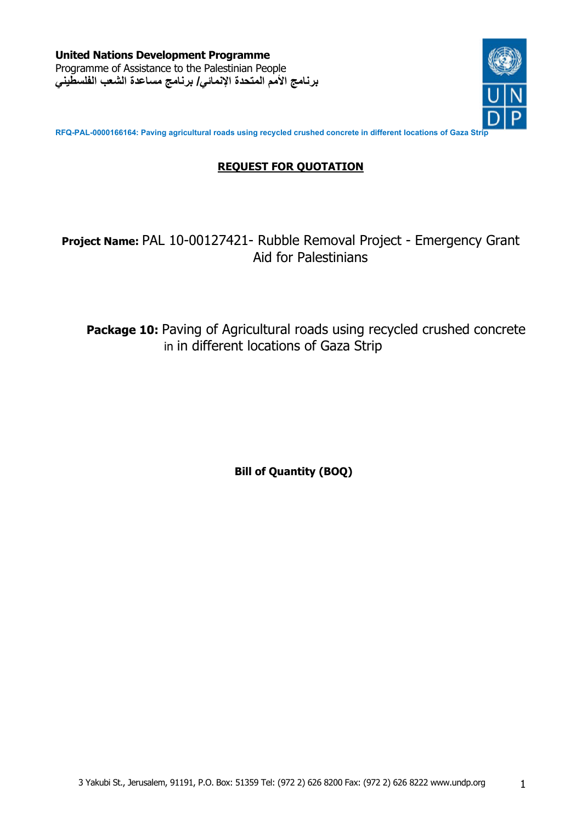**United Nations Development Programme**  Programme of Assistance to the Palestinian People **برنامج الأمم المتحدة الإنمائي/ برنامج مساعدة الشعب الفلسطيني**



**RFQ-PAL-0000166164: Paving agricultural roads using recycled crushed concrete in different locations of Gaza Strip** 

## **REQUEST FOR QUOTATION**

# **Project Name:** PAL 10-00127421- Rubble Removal Project - Emergency Grant Aid for Palestinians

Package 10: Paving of Agricultural roads using recycled crushed concrete in in different locations of Gaza Strip

**Bill of Quantity (BOQ)**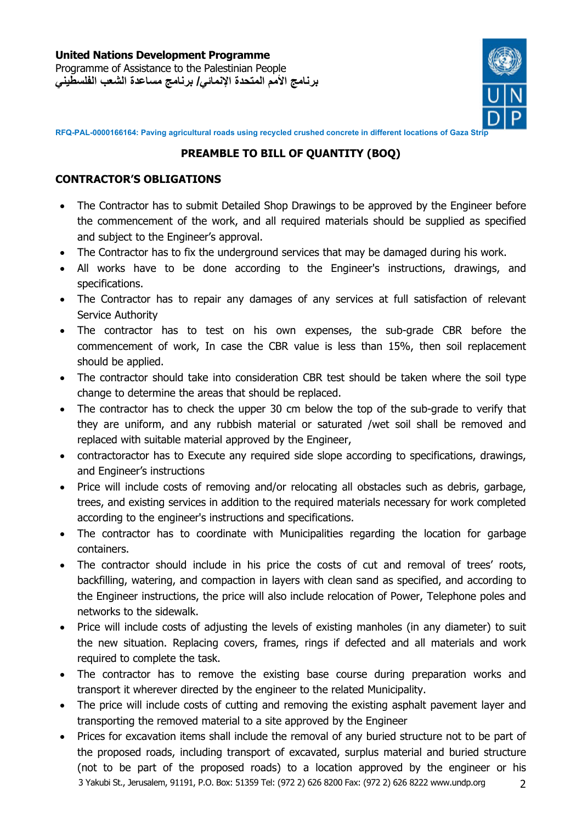

**RFQ-PAL-0000166164: Paving agricultural roads using recycled crushed concrete in different locations of Gaza Strip** 

### **PREAMBLE TO BILL OF QUANTITY (BOQ)**

#### **CONTRACTOR'S OBLIGATIONS**

- The Contractor has to submit Detailed Shop Drawings to be approved by the Engineer before the commencement of the work, and all required materials should be supplied as specified and subject to the Engineer's approval.
- The Contractor has to fix the underground services that may be damaged during his work.
- All works have to be done according to the Engineer's instructions, drawings, and specifications.
- The Contractor has to repair any damages of any services at full satisfaction of relevant Service Authority
- The contractor has to test on his own expenses, the sub-grade CBR before the commencement of work, In case the CBR value is less than 15%, then soil replacement should be applied.
- The contractor should take into consideration CBR test should be taken where the soil type change to determine the areas that should be replaced.
- The contractor has to check the upper 30 cm below the top of the sub-grade to verify that they are uniform, and any rubbish material or saturated /wet soil shall be removed and replaced with suitable material approved by the Engineer,
- contractoractor has to Execute any required side slope according to specifications, drawings, and Engineer's instructions
- Price will include costs of removing and/or relocating all obstacles such as debris, garbage, trees, and existing services in addition to the required materials necessary for work completed according to the engineer's instructions and specifications.
- The contractor has to coordinate with Municipalities regarding the location for garbage containers.
- The contractor should include in his price the costs of cut and removal of trees' roots, backfilling, watering, and compaction in layers with clean sand as specified, and according to the Engineer instructions, the price will also include relocation of Power, Telephone poles and networks to the sidewalk.
- Price will include costs of adjusting the levels of existing manholes (in any diameter) to suit the new situation. Replacing covers, frames, rings if defected and all materials and work required to complete the task.
- The contractor has to remove the existing base course during preparation works and transport it wherever directed by the engineer to the related Municipality.
- The price will include costs of cutting and removing the existing asphalt pavement layer and transporting the removed material to a site approved by the Engineer
- 3 Yakubi St., Jerusalem, 91191, P.O. Box: 51359 Tel: (972 2) 626 8200 Fax: (972 2) 626 8222 www.undp.org 2 Prices for excavation items shall include the removal of any buried structure not to be part of the proposed roads, including transport of excavated, surplus material and buried structure (not to be part of the proposed roads) to a location approved by the engineer or his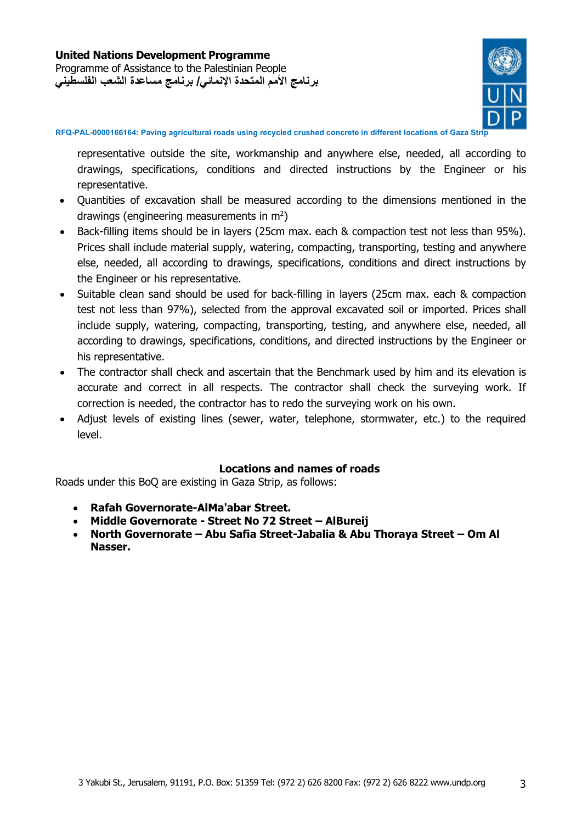

**RFQ-PAL-0000166164: Paving agricultural roads using recycled crushed concrete in different locations of Gaza Strip** 

representative outside the site, workmanship and anywhere else, needed, all according to drawings, specifications, conditions and directed instructions by the Engineer or his representative.

- Ouantities of excavation shall be measured according to the dimensions mentioned in the drawings (engineering measurements in  $m^2$ )
- Back-filling items should be in layers (25cm max. each & compaction test not less than 95%). Prices shall include material supply, watering, compacting, transporting, testing and anywhere else, needed, all according to drawings, specifications, conditions and direct instructions by the Engineer or his representative.
- Suitable clean sand should be used for back-filling in layers (25cm max. each & compaction test not less than 97%), selected from the approval excavated soil or imported. Prices shall include supply, watering, compacting, transporting, testing, and anywhere else, needed, all according to drawings, specifications, conditions, and directed instructions by the Engineer or his representative.
- The contractor shall check and ascertain that the Benchmark used by him and its elevation is accurate and correct in all respects. The contractor shall check the surveying work. If correction is needed, the contractor has to redo the surveying work on his own.
- Adjust levels of existing lines (sewer, water, telephone, stormwater, etc.) to the required level.

#### **Locations and names of roads**

Roads under this BoQ are existing in Gaza Strip, as follows:

- **Rafah Governorate-AlMa'abar Street.**
- **Middle Governorate - Street No 72 Street AlBureij**
- **North Governorate Abu Safia Street-Jabalia & Abu Thoraya Street Om Al Nasser.**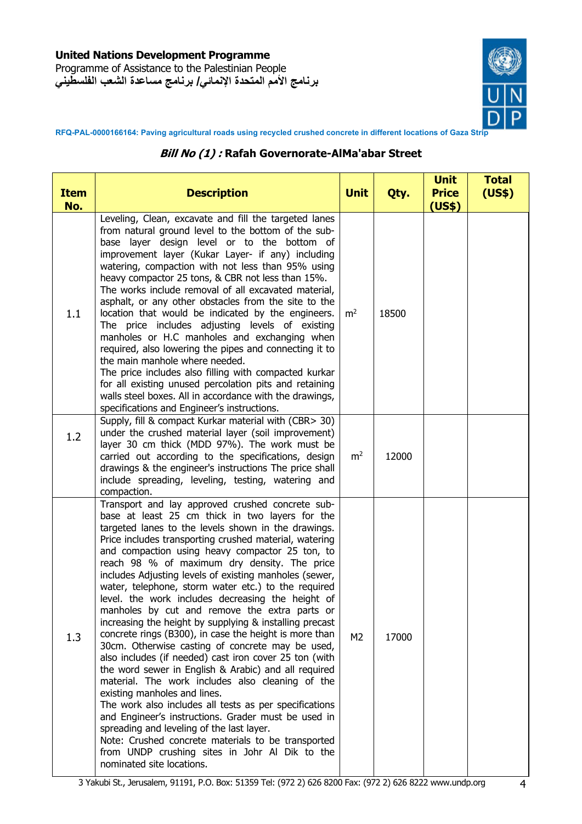Programme of Assistance to the Palestinian People **برنامج الأمم المتحدة الإنمائي/ برنامج مساعدة الشعب الفلسطيني**



**RFQ-PAL-0000166164: Paving agricultural roads using recycled crushed concrete in different locations of Gaza Strip** 

#### **Bill No (1) : Rafah Governorate-AlMa'abar Street**

| <b>Item</b><br>No. | <b>Description</b>                                                                                                                                                                                                                                                                                                                                                                                                                                                                                                                                                                                                                                                                                                                                                                                                                                                                                                                                                                                                                                                                                                                                                                                                               | <b>Unit</b>    | Qty.  | <b>Unit</b><br><b>Price</b><br>(US\$) | <b>Total</b><br>(US\$) |
|--------------------|----------------------------------------------------------------------------------------------------------------------------------------------------------------------------------------------------------------------------------------------------------------------------------------------------------------------------------------------------------------------------------------------------------------------------------------------------------------------------------------------------------------------------------------------------------------------------------------------------------------------------------------------------------------------------------------------------------------------------------------------------------------------------------------------------------------------------------------------------------------------------------------------------------------------------------------------------------------------------------------------------------------------------------------------------------------------------------------------------------------------------------------------------------------------------------------------------------------------------------|----------------|-------|---------------------------------------|------------------------|
| 1.1                | Leveling, Clean, excavate and fill the targeted lanes<br>from natural ground level to the bottom of the sub-<br>base layer design level or to the bottom of<br>improvement layer (Kukar Layer- if any) including<br>watering, compaction with not less than 95% using<br>heavy compactor 25 tons, & CBR not less than 15%.<br>The works include removal of all excavated material,<br>asphalt, or any other obstacles from the site to the<br>location that would be indicated by the engineers.<br>The price includes adjusting levels of existing<br>manholes or H.C manholes and exchanging when<br>required, also lowering the pipes and connecting it to<br>the main manhole where needed.<br>The price includes also filling with compacted kurkar<br>for all existing unused percolation pits and retaining<br>walls steel boxes. All in accordance with the drawings,<br>specifications and Engineer's instructions.                                                                                                                                                                                                                                                                                                     | m <sup>2</sup> | 18500 |                                       |                        |
| 1.2                | Supply, fill & compact Kurkar material with (CBR> 30)<br>under the crushed material layer (soil improvement)<br>layer 30 cm thick (MDD 97%). The work must be<br>carried out according to the specifications, design<br>drawings & the engineer's instructions The price shall<br>include spreading, leveling, testing, watering and<br>compaction.                                                                                                                                                                                                                                                                                                                                                                                                                                                                                                                                                                                                                                                                                                                                                                                                                                                                              | m <sup>2</sup> | 12000 |                                       |                        |
| 1.3                | Transport and lay approved crushed concrete sub-<br>base at least 25 cm thick in two layers for the<br>targeted lanes to the levels shown in the drawings.<br>Price includes transporting crushed material, watering<br>and compaction using heavy compactor 25 ton, to<br>reach 98 % of maximum dry density. The price<br>includes Adjusting levels of existing manholes (sewer,<br>water, telephone, storm water etc.) to the required<br>level. the work includes decreasing the height of<br>manholes by cut and remove the extra parts or<br>increasing the height by supplying & installing precast<br>concrete rings (B300), in case the height is more than<br>30cm. Otherwise casting of concrete may be used,<br>also includes (if needed) cast iron cover 25 ton (with<br>the word sewer in English & Arabic) and all required<br>material. The work includes also cleaning of the<br>existing manholes and lines.<br>The work also includes all tests as per specifications<br>and Engineer's instructions. Grader must be used in<br>spreading and leveling of the last layer.<br>Note: Crushed concrete materials to be transported<br>from UNDP crushing sites in Johr Al Dik to the<br>nominated site locations. | M <sub>2</sub> | 17000 |                                       |                        |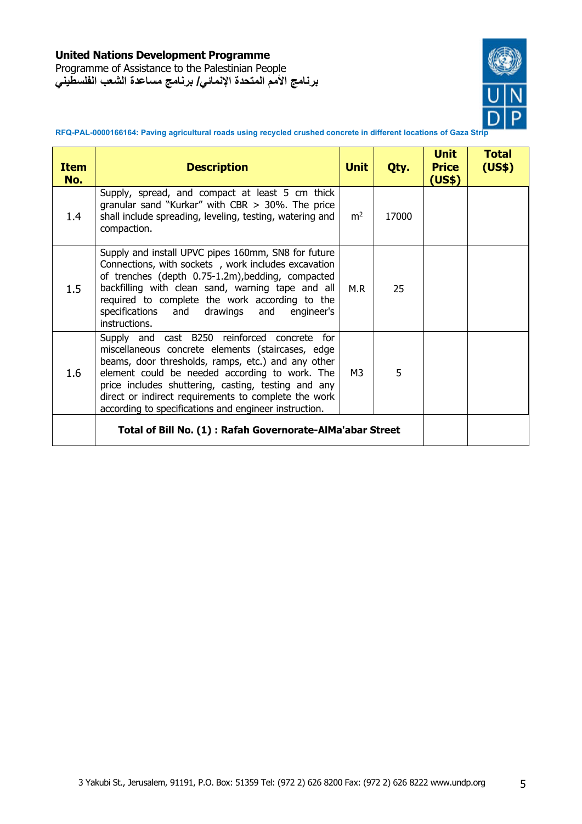Programme of Assistance to the Palestinian People **برنامج الأمم المتحدة الإنمائي/ برنامج مساعدة الشعب الفلسطيني**



**RFQ-PAL-0000166164: Paving agricultural roads using recycled crushed concrete in different locations of Gaza Strip** 

| <b>Item</b><br>No. | <b>Description</b>                                                                                                                                                                                                                                                                                                                                                                | <b>Unit</b>    | Qty.  | <b>Unit</b><br><b>Price</b><br>(US\$) | <b>Total</b><br>(US\$) |
|--------------------|-----------------------------------------------------------------------------------------------------------------------------------------------------------------------------------------------------------------------------------------------------------------------------------------------------------------------------------------------------------------------------------|----------------|-------|---------------------------------------|------------------------|
| 1.4                | Supply, spread, and compact at least 5 cm thick<br>granular sand "Kurkar" with CBR $>$ 30%. The price<br>shall include spreading, leveling, testing, watering and<br>compaction.                                                                                                                                                                                                  | m <sup>2</sup> | 17000 |                                       |                        |
| 1.5                | Supply and install UPVC pipes 160mm, SN8 for future<br>Connections, with sockets, work includes excavation<br>of trenches (depth 0.75-1.2m), bedding, compacted<br>backfilling with clean sand, warning tape and all<br>required to complete the work according to the<br>specifications and<br>drawings and engineer's<br>instructions.                                          | M.R            | 25    |                                       |                        |
| 1.6                | Supply and cast B250 reinforced concrete for<br>miscellaneous concrete elements (staircases, edge<br>beams, door thresholds, ramps, etc.) and any other<br>element could be needed according to work. The<br>price includes shuttering, casting, testing and any<br>direct or indirect requirements to complete the work<br>according to specifications and engineer instruction. | M3             | 5     |                                       |                        |
|                    | Total of Bill No. (1): Rafah Governorate-AlMa'abar Street                                                                                                                                                                                                                                                                                                                         |                |       |                                       |                        |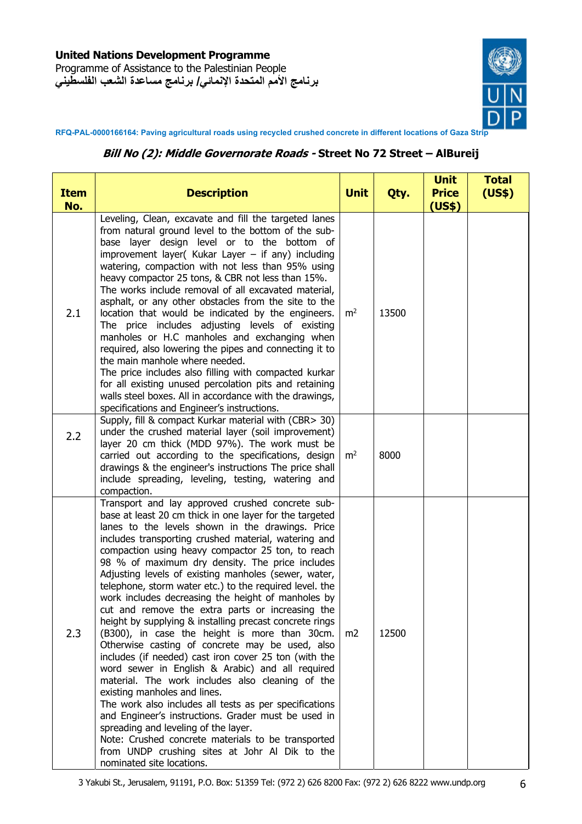Programme of Assistance to the Palestinian People **برنامج الأمم المتحدة الإنمائي/ برنامج مساعدة الشعب الفلسطيني**



**RFQ-PAL-0000166164: Paving agricultural roads using recycled crushed concrete in different locations of Gaza Strip** 

#### **Bill No (2): Middle Governorate Roads - Street No 72 Street – AlBureij**

| <b>Item</b><br>No. | <b>Description</b>                                                                                                                                                                                                                                                                                                                                                                                                                                                                                                                                                                                                                                                                                                                                                                                                                                                                                                                                                                                                                                                                                                                                                                                                         | <b>Unit</b>    | Qty.  | <b>Unit</b><br><b>Price</b><br>(US\$) | <b>Total</b><br>(US\$) |
|--------------------|----------------------------------------------------------------------------------------------------------------------------------------------------------------------------------------------------------------------------------------------------------------------------------------------------------------------------------------------------------------------------------------------------------------------------------------------------------------------------------------------------------------------------------------------------------------------------------------------------------------------------------------------------------------------------------------------------------------------------------------------------------------------------------------------------------------------------------------------------------------------------------------------------------------------------------------------------------------------------------------------------------------------------------------------------------------------------------------------------------------------------------------------------------------------------------------------------------------------------|----------------|-------|---------------------------------------|------------------------|
| 2.1                | Leveling, Clean, excavate and fill the targeted lanes<br>from natural ground level to the bottom of the sub-<br>base layer design level or to the bottom of<br>improvement layer( Kukar Layer $-$ if any) including<br>watering, compaction with not less than 95% using<br>heavy compactor 25 tons, & CBR not less than 15%.<br>The works include removal of all excavated material,<br>asphalt, or any other obstacles from the site to the<br>location that would be indicated by the engineers.<br>The price includes adjusting levels of existing<br>manholes or H.C manholes and exchanging when<br>required, also lowering the pipes and connecting it to<br>the main manhole where needed.<br>The price includes also filling with compacted kurkar<br>for all existing unused percolation pits and retaining<br>walls steel boxes. All in accordance with the drawings,<br>specifications and Engineer's instructions.                                                                                                                                                                                                                                                                                            | m <sup>2</sup> | 13500 |                                       |                        |
| 2.2                | Supply, fill & compact Kurkar material with (CBR> 30)<br>under the crushed material layer (soil improvement)<br>layer 20 cm thick (MDD 97%). The work must be<br>carried out according to the specifications, design<br>drawings & the engineer's instructions The price shall<br>include spreading, leveling, testing, watering and<br>compaction.                                                                                                                                                                                                                                                                                                                                                                                                                                                                                                                                                                                                                                                                                                                                                                                                                                                                        | m <sup>2</sup> | 8000  |                                       |                        |
| 2.3                | Transport and lay approved crushed concrete sub-<br>base at least 20 cm thick in one layer for the targeted<br>lanes to the levels shown in the drawings. Price<br>includes transporting crushed material, watering and<br>compaction using heavy compactor 25 ton, to reach<br>98 % of maximum dry density. The price includes<br>Adjusting levels of existing manholes (sewer, water,<br>telephone, storm water etc.) to the required level. the<br>work includes decreasing the height of manholes by<br>cut and remove the extra parts or increasing the<br>height by supplying & installing precast concrete rings<br>(B300), in case the height is more than 30cm.<br>Otherwise casting of concrete may be used, also<br>includes (if needed) cast iron cover 25 ton (with the<br>word sewer in English & Arabic) and all required<br>material. The work includes also cleaning of the<br>existing manholes and lines.<br>The work also includes all tests as per specifications<br>and Engineer's instructions. Grader must be used in<br>spreading and leveling of the layer.<br>Note: Crushed concrete materials to be transported<br>from UNDP crushing sites at Johr Al Dik to the<br>nominated site locations. | m <sub>2</sub> | 12500 |                                       |                        |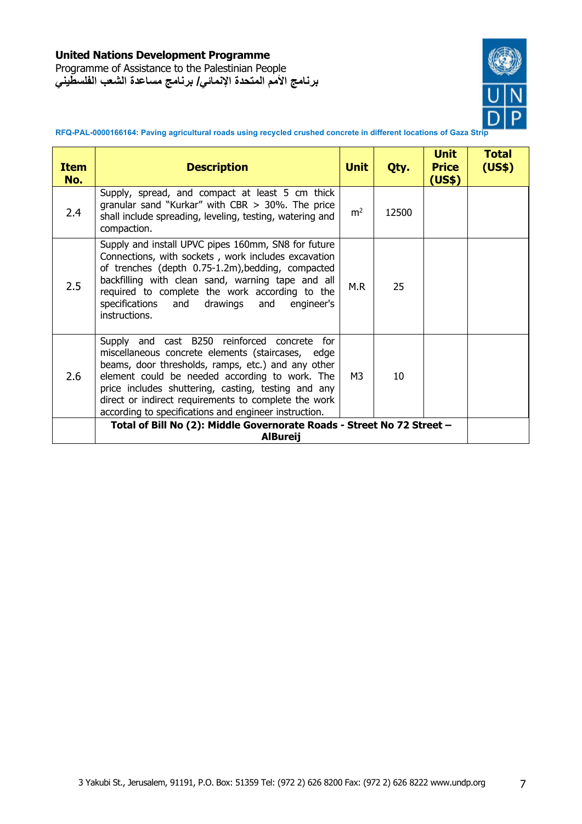Programme of Assistance to the Palestinian People **برنامج الأمم المتحدة الإنمائي/ برنامج مساعدة الشعب الفلسطيني**



**RFQ-PAL-0000166164: Paving agricultural roads using recycled crushed concrete in different locations of Gaza Strip** 

| <b>Item</b><br>No. | <b>Description</b>                                                                                                                                                                                                                                                                                                                                                                   | <b>Unit</b>    | Qty.  | <b>Unit</b><br><b>Price</b><br>(US\$) | <b>Total</b><br>(US\$) |
|--------------------|--------------------------------------------------------------------------------------------------------------------------------------------------------------------------------------------------------------------------------------------------------------------------------------------------------------------------------------------------------------------------------------|----------------|-------|---------------------------------------|------------------------|
| 2.4                | Supply, spread, and compact at least 5 cm thick<br>granular sand "Kurkar" with CBR $>$ 30%. The price<br>shall include spreading, leveling, testing, watering and<br>compaction.                                                                                                                                                                                                     | m <sup>2</sup> | 12500 |                                       |                        |
| 2.5                | Supply and install UPVC pipes 160mm, SN8 for future<br>Connections, with sockets, work includes excavation<br>of trenches (depth 0.75-1.2m), bedding, compacted<br>backfilling with clean sand, warning tape and all<br>required to complete the work according to the<br>specifications and<br>drawings and<br>engineer's<br>instructions.                                          | M.R            | 25    |                                       |                        |
| 2.6                | Supply and cast B250 reinforced concrete<br>for<br>miscellaneous concrete elements (staircases, edge<br>beams, door thresholds, ramps, etc.) and any other<br>element could be needed according to work. The<br>price includes shuttering, casting, testing and any<br>direct or indirect requirements to complete the work<br>according to specifications and engineer instruction. | M <sub>3</sub> | 10    |                                       |                        |
|                    | Total of Bill No (2): Middle Governorate Roads - Street No 72 Street -<br><b>AlBureij</b>                                                                                                                                                                                                                                                                                            |                |       |                                       |                        |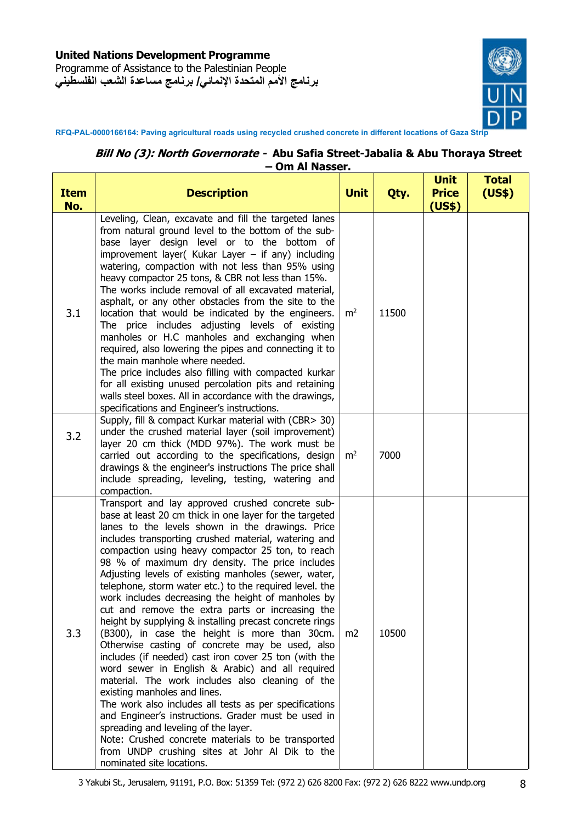Programme of Assistance to the Palestinian People **برنامج الأمم المتحدة الإنمائي/ برنامج مساعدة الشعب الفلسطيني**



**RFQ-PAL-0000166164: Paving agricultural roads using recycled crushed concrete in different locations of Gaza Strip** 

#### **Bill No (3): North Governorate - Abu Safia Street-Jabalia & Abu Thoraya Street – Om Al Nasser.**

| <b>Item</b><br>No. | <b>Description</b>                                                                                                                                                                                                                                                                                                                                                                                                                                                                                                                                                                                                                                                                                                                                                                                                                                                                                                                                                                                                                                                                                                                                                                                                         | <b>Unit</b>    | Qty.  | <b>Unit</b><br><b>Price</b><br>(US\$) | <b>Total</b><br>(US\$) |
|--------------------|----------------------------------------------------------------------------------------------------------------------------------------------------------------------------------------------------------------------------------------------------------------------------------------------------------------------------------------------------------------------------------------------------------------------------------------------------------------------------------------------------------------------------------------------------------------------------------------------------------------------------------------------------------------------------------------------------------------------------------------------------------------------------------------------------------------------------------------------------------------------------------------------------------------------------------------------------------------------------------------------------------------------------------------------------------------------------------------------------------------------------------------------------------------------------------------------------------------------------|----------------|-------|---------------------------------------|------------------------|
| 3.1                | Leveling, Clean, excavate and fill the targeted lanes<br>from natural ground level to the bottom of the sub-<br>base layer design level or to the bottom of<br>improvement layer( Kukar Layer $-$ if any) including<br>watering, compaction with not less than 95% using<br>heavy compactor 25 tons, & CBR not less than 15%.<br>The works include removal of all excavated material,<br>asphalt, or any other obstacles from the site to the<br>location that would be indicated by the engineers.<br>The price includes adjusting levels of existing<br>manholes or H.C manholes and exchanging when<br>required, also lowering the pipes and connecting it to<br>the main manhole where needed.<br>The price includes also filling with compacted kurkar<br>for all existing unused percolation pits and retaining<br>walls steel boxes. All in accordance with the drawings,<br>specifications and Engineer's instructions.                                                                                                                                                                                                                                                                                            | m <sup>2</sup> | 11500 |                                       |                        |
| 3.2                | Supply, fill & compact Kurkar material with (CBR> 30)<br>under the crushed material layer (soil improvement)<br>layer 20 cm thick (MDD 97%). The work must be<br>carried out according to the specifications, design<br>drawings & the engineer's instructions The price shall<br>include spreading, leveling, testing, watering and<br>compaction.                                                                                                                                                                                                                                                                                                                                                                                                                                                                                                                                                                                                                                                                                                                                                                                                                                                                        | m <sup>2</sup> | 7000  |                                       |                        |
| 3.3                | Transport and lay approved crushed concrete sub-<br>base at least 20 cm thick in one layer for the targeted<br>lanes to the levels shown in the drawings. Price<br>includes transporting crushed material, watering and<br>compaction using heavy compactor 25 ton, to reach<br>98 % of maximum dry density. The price includes<br>Adjusting levels of existing manholes (sewer, water,<br>telephone, storm water etc.) to the required level. the<br>work includes decreasing the height of manholes by<br>cut and remove the extra parts or increasing the<br>height by supplying & installing precast concrete rings<br>(B300), in case the height is more than 30cm.<br>Otherwise casting of concrete may be used, also<br>includes (if needed) cast iron cover 25 ton (with the<br>word sewer in English & Arabic) and all required<br>material. The work includes also cleaning of the<br>existing manholes and lines.<br>The work also includes all tests as per specifications<br>and Engineer's instructions. Grader must be used in<br>spreading and leveling of the layer.<br>Note: Crushed concrete materials to be transported<br>from UNDP crushing sites at Johr Al Dik to the<br>nominated site locations. | m <sub>2</sub> | 10500 |                                       |                        |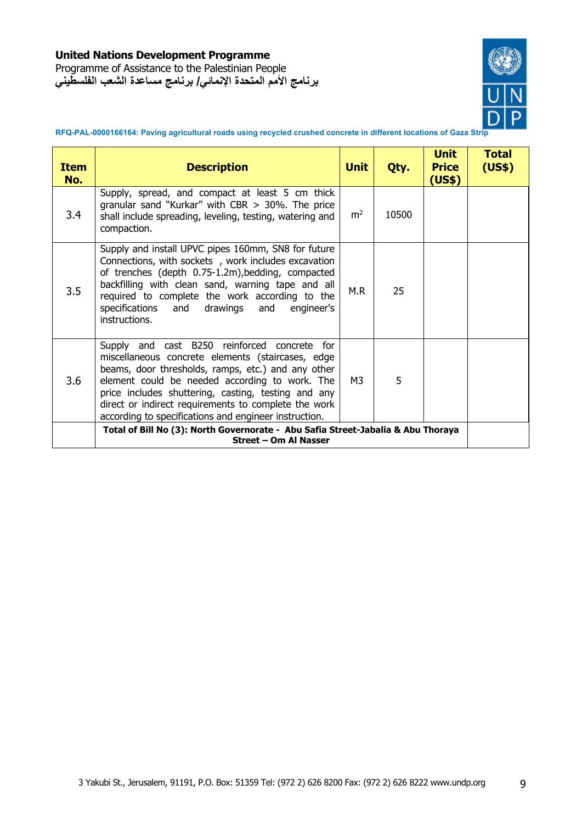Programme of Assistance to the Palestinian People **برنامج الأمم المتحدة الإنمائي/ برنامج مساعدة الشعب الفلسطيني**



**RFQ-PAL-0000166164: Paving agricultural roads using recycled crushed concrete in different locations of Gaza Strip** 

| Item<br>No. | <b>Description</b>                                                                                                                                                                                                                                                                                                                                                                | <b>Unit</b>    | Qty.  | <b>Unit</b><br><b>Price</b><br>(US\$) | <b>Total</b><br>(US\$) |
|-------------|-----------------------------------------------------------------------------------------------------------------------------------------------------------------------------------------------------------------------------------------------------------------------------------------------------------------------------------------------------------------------------------|----------------|-------|---------------------------------------|------------------------|
| 3.4         | Supply, spread, and compact at least 5 cm thick<br>granular sand "Kurkar" with CBR $>$ 30%. The price<br>shall include spreading, leveling, testing, watering and<br>compaction.                                                                                                                                                                                                  | m <sup>2</sup> | 10500 |                                       |                        |
| 3.5         | Supply and install UPVC pipes 160mm, SN8 for future<br>Connections, with sockets, work includes excavation<br>of trenches (depth 0.75-1.2m), bedding, compacted<br>backfilling with clean sand, warning tape and all<br>required to complete the work according to the<br>specifications and<br>drawings and engineer's<br>instructions.                                          | M.R            | 25    |                                       |                        |
| 3.6         | Supply and cast B250 reinforced concrete for<br>miscellaneous concrete elements (staircases, edge<br>beams, door thresholds, ramps, etc.) and any other<br>element could be needed according to work. The<br>price includes shuttering, casting, testing and any<br>direct or indirect requirements to complete the work<br>according to specifications and engineer instruction. | M3             | 5     |                                       |                        |
|             | Total of Bill No (3): North Governorate - Abu Safia Street-Jabalia & Abu Thoraya<br>Street - Om Al Nasser                                                                                                                                                                                                                                                                         |                |       |                                       |                        |